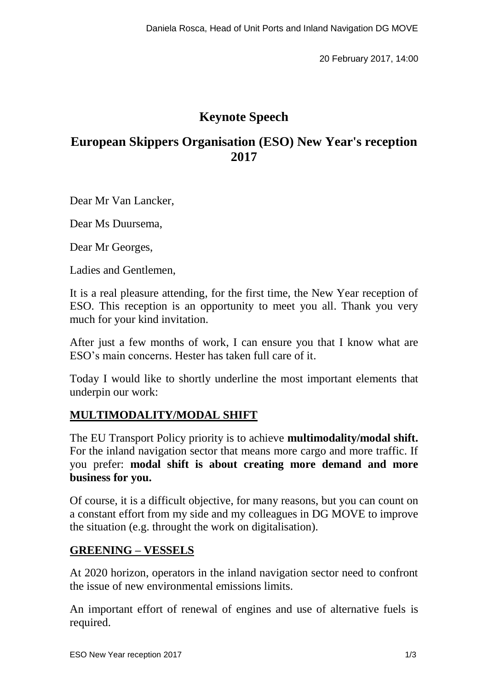20 February 2017, 14:00

# **Keynote Speech**

# **European Skippers Organisation (ESO) New Year's reception 2017**

Dear Mr Van Lancker,

Dear Ms Duursema,

Dear Mr Georges,

Ladies and Gentlemen,

It is a real pleasure attending, for the first time, the New Year reception of ESO. This reception is an opportunity to meet you all. Thank you very much for your kind invitation.

After just a few months of work, I can ensure you that I know what are ESO's main concerns. Hester has taken full care of it.

Today I would like to shortly underline the most important elements that underpin our work:

## **MULTIMODALITY/MODAL SHIFT**

The EU Transport Policy priority is to achieve **multimodality/modal shift.** For the inland navigation sector that means more cargo and more traffic. If you prefer: **modal shift is about creating more demand and more business for you.**

Of course, it is a difficult objective, for many reasons, but you can count on a constant effort from my side and my colleagues in DG MOVE to improve the situation (e.g. throught the work on digitalisation).

### **GREENING – VESSELS**

At 2020 horizon, operators in the inland navigation sector need to confront the issue of new environmental emissions limits.

An important effort of renewal of engines and use of alternative fuels is required.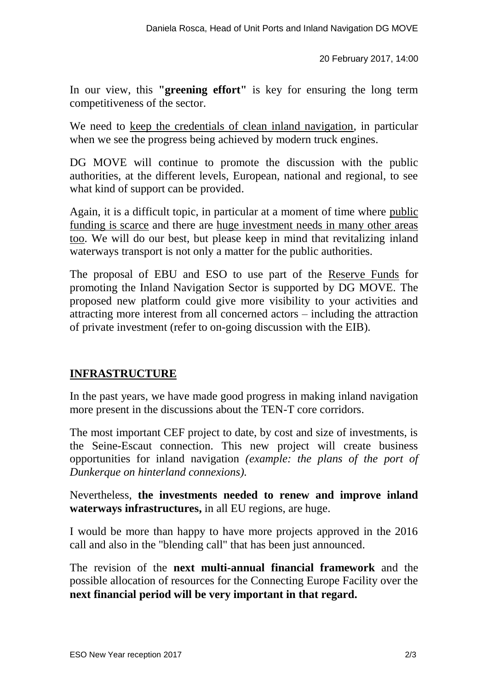20 February 2017, 14:00

In our view, this **"greening effort"** is key for ensuring the long term competitiveness of the sector.

We need to keep the credentials of clean inland navigation, in particular when we see the progress being achieved by modern truck engines.

DG MOVE will continue to promote the discussion with the public authorities, at the different levels, European, national and regional, to see what kind of support can be provided.

Again, it is a difficult topic, in particular at a moment of time where public funding is scarce and there are huge investment needs in many other areas too. We will do our best, but please keep in mind that revitalizing inland waterways transport is not only a matter for the public authorities.

The proposal of EBU and ESO to use part of the Reserve Funds for promoting the Inland Navigation Sector is supported by DG MOVE. The proposed new platform could give more visibility to your activities and attracting more interest from all concerned actors – including the attraction of private investment (refer to on-going discussion with the EIB).

## **INFRASTRUCTURE**

In the past years, we have made good progress in making inland navigation more present in the discussions about the TEN-T core corridors.

The most important CEF project to date, by cost and size of investments, is the Seine-Escaut connection. This new project will create business opportunities for inland navigation *(example: the plans of the port of Dunkerque on hinterland connexions).*

Nevertheless, **the investments needed to renew and improve inland waterways infrastructures,** in all EU regions, are huge.

I would be more than happy to have more projects approved in the 2016 call and also in the "blending call" that has been just announced.

The revision of the **next multi-annual financial framework** and the possible allocation of resources for the Connecting Europe Facility over the **next financial period will be very important in that regard.**